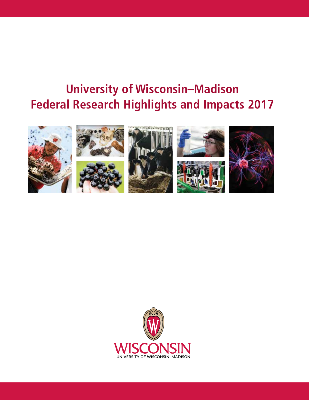# **University of Wisconsin–Madison Federal Research Highlights and Impacts 2017**











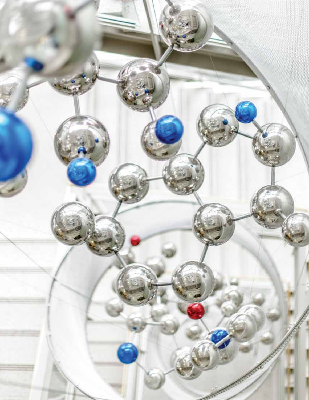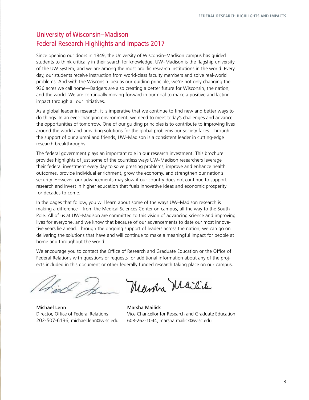# University of Wisconsin–Madison Federal Research Highlights and Impacts 2017

Since opening our doors in 1849, the University of Wisconsin–Madison campus has guided students to think critically in their search for knowledge. UW–Madison is the flagship university of the UW System, and we are among the most prolific research institutions in the world. Every day, our students receive instruction from world-class faculty members and solve real-world problems. And with the Wisconsin Idea as our guiding principle, we're not only changing the 936 acres we call home—Badgers are also creating a better future for Wisconsin, the nation, and the world. We are continually moving forward in our goal to make a positive and lasting impact through all our initiatives.

As a global leader in research, it is imperative that we continue to find new and better ways to do things. In an ever-changing environment, we need to meet today's challenges and advance the opportunities of tomorrow. One of our guiding principles is to contribute to improving lives around the world and providing solutions for the global problems our society faces. Through the support of our alumni and friends, UW–Madison is a consistent leader in cutting-edge research breakthroughs.

The federal government plays an important role in our research investment. This brochure provides highlights of just some of the countless ways UW–Madison researchers leverage their federal investment every day to solve pressing problems, improve and enhance health outcomes, provide individual enrichment, grow the economy, and strengthen our nation's security. However, our advancements may slow if our country does not continue to support research and invest in higher education that fuels innovative ideas and economic prosperity for decades to come.

In the pages that follow, you will learn about some of the ways UW–Madison research is making a difference—from the Medical Sciences Center on campus, all the way to the South Pole. All of us at UW–Madison are committed to this vision of advancing science and improving lives for everyone, and we know that because of our advancements to date our most innovative years lie ahead. Through the ongoing support of leaders across the nation, we can go on delivering the solutions that have and will continue to make a meaningful impact for people at home and throughout the world.

We encourage you to contact the Office of Research and Graduate Education or the Office of Federal Relations with questions or requests for additional information about any of the projects included in this document or other federally funded research taking place on our campus.

Michael Lenn **Michael Lenn** Marsha Mailick

Marka Mailich

Director, Office of Federal Relations Vice Chancellor for Research and Graduate Education 202-507-6136, michael.lenn@wisc.edu 608-262-1044, marsha.mailick@wisc.edu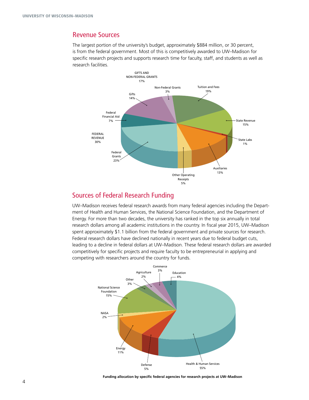# Revenue Sources

The largest portion of the university's budget, approximately \$884 million, or 30 percent, is from the federal government. Most of this is competitively awarded to UW–Madison for specific research projects and supports research time for faculty, staff, and students as well as research facilities.



# Sources of Federal Research Funding

UW–Madison receives federal research awards from many federal agencies including the Department of Health and Human Services, the National Science Foundation, and the Department of Energy. For more than two decades, the university has ranked in the top six annually in total research dollars among all academic institutions in the country. In fiscal year 2015, UW–Madison spent approximately \$1.1 billion from the federal government and private sources for research. Federal research dollars have declined nationally in recent years due to federal budget cuts, leading to a decline in federal dollars at UW–Madison. These federal research dollars are awarded competitively for specific projects and require faculty to be entrepreneurial in applying and competing with researchers around the country for funds.



**Funding allocation by specific federal agencies for research projects at UW–Madison**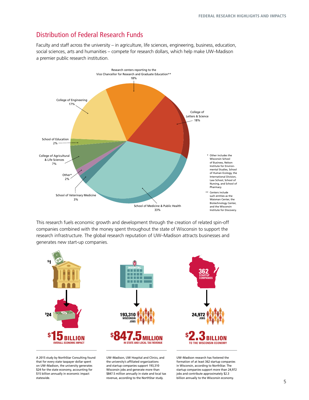# Distribution of Federal Research Funds

Faculty and staff across the university – in agriculture, life sciences, engineering, business, education, social sciences, arts and humanities – compete for research dollars, which help make UW–Madison a premier public research institution.



This research fuels economic growth and development through the creation of related spin-off companies combined with the money spent throughout the state of Wisconsin to support the research infrastructure. The global research reputation of UW–Madison attracts businesses and generates new start-up companies.



A 2015 study by NorthStar Consulting found that for every state taxpayer dollar spent on UW–Madison, the university generates \$24 for the state economy, accounting for \$15 billion annually in economic impact statewide.

UW–Madison, UW Hospital and Clinics, and the university's affiliated organizations and startup companies support 193,310 Wisconsin jobs and generate more than \$847.5 million annually in state and local tax revenue, according to the NorthStar study.

formation of at least 362 startup companies in Wisconsin, according to NorthStar. The startup companies support more than 24,972 jobs and contribute approximately \$2.3 billion annually to the Wisconsin economy.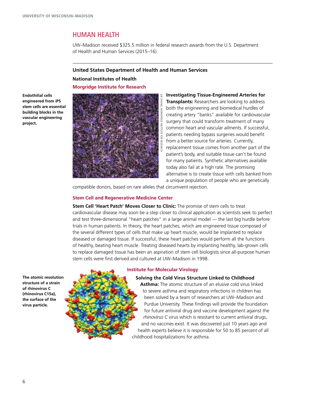**Endothilial cells engineered from iPS stem cells are essential building blocks in the vascular engineering** 

**project.** 

# HUMAN HEALTH

UW–Madison received \$325.5 million in federal research awards from the U.S. Department of Health and Human Services (2015–16).

#### **United States Department of Health and Human Services**

#### **National Institutes of Health**

**Morgridge Institute for Research**



**Investigating Tissue-Engineered Arteries for Transplants:** Researchers are looking to address both the engineering and biomedical hurdles of creating artery "banks" available for cardiovascular surgery that could transform treatment of many common heart and vascular ailments. If successful, patients needing bypass surgeries would benefit from a better source for arteries. Currently, replacement tissue comes from another part of the patient's body, and suitable tissue can't be found for many patients. Synthetic alternatives available today also fail at a high rate. The promising alternative is to create tissue with cells banked from a unique population of people who are genetically

compatible donors, based on rare alleles that circumvent rejection.

#### **Stem Cell and Regenerative Medicine Center**

**Stem Cell 'Heart Patch' Moves Closer to Clinic:** The promise of stem cells to treat cardiovascular disease may soon be a step closer to clinical application as scientists seek to perfect and test three-dimensional "heart patches" in a large animal model — the last big hurdle before trials in human patients. In theory, the heart patches, which are engineered tissue composed of the several different types of cells that make up heart muscle, would be implanted to replace diseased or damaged tissue. If successful, these heart patches would perform all the functions of healthy, beating heart muscle. Treating diseased hearts by implanting healthy, lab-grown cells to replace damaged tissue has been an aspiration of stem cell biologists since all-purpose human stem cells were first derived and cultured at UW–Madison in 1998.

**The atomic resolution structure of a strain of rhinovirus C (rhinovirus C15a), the surface of the virus particle.**

#### **Institute for Molecular Virology**

#### **Solving the Cold Virus Structure Linked to Childhood**

**Asthma:** The atomic structure of an elusive cold virus linked to severe asthma and respiratory infections in children has been solved by a team of researchers at UW–Madison and Purdue University. These findings will provide the foundation for future antiviral drug and vaccine development against the *rhinovirus C* virus which is resistant to current antiviral drugs, and no vaccines exist. It was discovered just 10 years ago and health experts believe it is responsible for 50 to 85 percent of all childhood hospitalizations for asthma.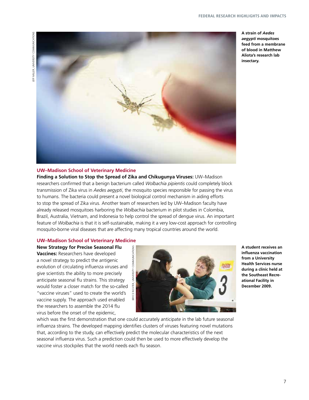

**A strain of** *Aedes aegypti* **mosquitoes feed from a membrane of blood in Matthew Aliota's research lab insectary.** 

#### **UW–Madison School of Veterinary Medicine**

**Finding a Solution to Stop the Spread of Zika and Chikugunya Viruses:** UW–Madison researchers confirmed that a benign bacterium called *Wolbachia pipientis* could completely block transmission of Zika virus in *Aedes aegypti*, the mosquito species responsible for passing the virus to humans. The bacteria could present a novel biological control mechanism in aiding efforts to stop the spread of Zika virus. Another team of researchers led by UW–Madison faculty have already released mosquitoes harboring the *Wolbachia* bacterium in pilot studies in Colombia, Brazil, Australia, Vietnam, and Indonesia to help control the spread of dengue virus. An important feature of *Wolbachia* is that it is self-sustainable, making it a very low-cost approach for controlling mosquito-borne viral diseases that are affecting many tropical countries around the world.

#### **UW–Madison School of Veterinary Medicine**

**New Strategy for Precise Seasonal Flu Vaccines:** Researchers have developed a novel strategy to predict the antigenic evolution of circulating influenza viruses and give scientists the ability to more precisely anticipate seasonal flu strains. This strategy would foster a closer match for the so-called "vaccine viruses" used to create the world's vaccine supply. The approach used enabled the researchers to assemble the 2014 flu virus before the onset of the epidemic,



which was the first demonstration that one could accurately anticipate in the lab future seasonal influenza strains. The developed mapping identifies clusters of viruses featuring novel mutations that, according to the study, can effectively predict the molecular characteristics of the next seasonal influenza virus. Such a prediction could then be used to more effectively develop the vaccine virus stockpiles that the world needs each flu season.

**A student receives an influenza vaccination from a University Health Services nurse during a clinic held at the Southeast Recreational Facility in December 2009.**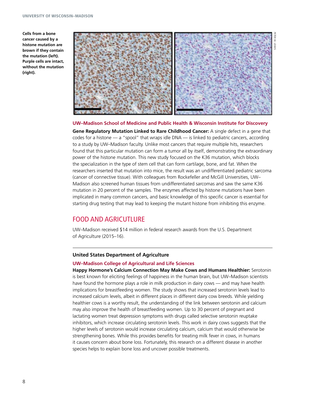**Cells from a bone cancer caused by a histone mutation are brown if they contain the mutation (left). Purple cells are intact, without the mutation (right).**



**UW–Madison School of Medicine and Public Health & Wisconsin Institute for Discovery**

**Gene Regulatory Mutation Linked to Rare Childhood Cancer:** A single defect in a gene that codes for a histone — a "spool" that wraps idle  $DNA$  — is linked to pediatric cancers, according to a study by UW–Madison faculty. Unlike most cancers that require multiple hits, researchers found that this particular mutation can form a tumor all by itself, demonstrating the extraordinary power of the histone mutation. This new study focused on the K36 mutation, which blocks the specialization in the type of stem cell that can form cartilage, bone, and fat. When the researchers inserted that mutation into mice, the result was an undifferentiated pediatric sarcoma (cancer of connective tissue). With colleagues from Rockefeller and McGill Universities, UW– Madison also screened human tissues from undifferentiated sarcomas and saw the same K36 mutation in 20 percent of the samples. The enzymes affected by histone mutations have been implicated in many common cancers, and basic knowledge of this specific cancer is essential for starting drug testing that may lead to keeping the mutant histone from inhibiting this enzyme.

# FOOD AND AGRICUTLURE

UW–Madison received \$14 million in federal research awards from the U.S. Department of Agriculture (2015–16).

#### **United States Department of Agriculture**

#### **UW–Madison College of Agricultural and Life Sciences**

**Happy Hormone's Calcium Connection May Make Cows and Humans Healthier:** Serotonin is best known for eliciting feelings of happiness in the human brain, but UW–Madison scientists have found the hormone plays a role in milk production in dairy cows — and may have health implications for breastfeeding women. The study shows that increased serotonin levels lead to increased calcium levels, albeit in different places in different dairy cow breeds. While yielding healthier cows is a worthy result, the understanding of the link between serotonin and calcium may also improve the health of breastfeeding women. Up to 30 percent of pregnant and lactating women treat depression symptoms with drugs called selective serotonin reuptake inhibitors, which increase circulating serotonin levels. This work in dairy cows suggests that the higher levels of serotonin would increase circulating calcium, calcium that would otherwise be strengthening bones. While this provides benefits for treating milk fever in cows, in humans it causes concern about bone loss. Fortunately, this research on a different disease in another species helps to explain bone loss and uncover possible treatments.

8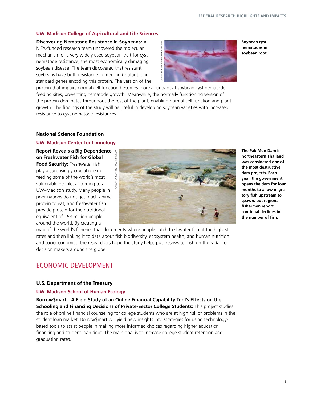## **UW–Madison College of Agricultural and Life Sciences**

**Discovering Nematode Resistance in Soybeans:** A NIFA-funded research team uncovered the molecular mechanism of a very widely used soybean trait for cyst nematode resistance, the most economically damaging soybean disease. The team discovered that resistant soybeans have both resistance-conferring (mutant) and standard genes encoding this protein. The version of the



**Soybean cyst nematodes in soybean root.**

protein that impairs normal cell function becomes more abundant at soybean cyst nematode feeding sites, preventing nematode growth. Meanwhile, the normally functioning version of the protein dominates throughout the rest of the plant, enabling normal cell function and plant growth. The findings of the study will be useful in developing soybean varieties with increased resistance to cyst nematode resistances.

#### **National Science Foundation**

#### **UW–Madison Center for Limnology**

**Report Reveals a Big Dependence on Freshwater Fish for Global Food Security:** Freshwater fish play a surprisingly crucial role in feeding some of the world's most vulnerable people, according to a UW–Madison study. Many people in poor nations do not get much animal protein to eat, and freshwater fish provide protein for the nutritional equivalent of 158 million people around the world. By creating a



map of the world's fisheries that documents where people catch freshwater fish at the highest rates and then linking it to data about fish biodiversity, ecosystem health, and human nutrition and socioeconomics, the researchers hope the study helps put freshwater fish on the radar for decision makers around the globe.

# ECONOMIC DEVELOPMENT

#### **U.S. Department of the Treasury**

### **UW–Madison School of Human Ecology**

**Borrow\$mart—A Field Study of an Online Financial Capability Tool's Effects on the Schooling and Financing Decisions of Private-Sector College Students:** This project studies the role of online financial counseling for college students who are at high risk of problems in the student loan market. Borrow\$mart will yield new insights into strategies for using technologybased tools to assist people in making more informed choices regarding higher education financing and student loan debt. The main goal is to increase college student retention and graduation rates.

**The Pak Mun Dam in northeastern Thailand was considered one of the most destructive dam projects. Each year, the government opens the dam for four months to allow migratory fish upstream to spawn, but regional fishermen report continual declines in the number of fish.**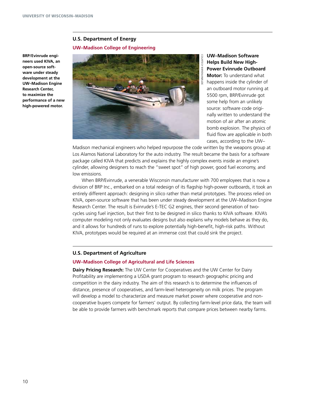## **U.S. Department of Energy UW–Madison College of Engineering**

**BRP/Evinrude engineers used KIVA, an open-source software under steady development at the UW–Madison Engine Research Center, to maximize the performance of a new high-powered motor.**



# **UW–Madison Software Helps Build New High-Power Evinrude Outboard**

**Motor:** To understand what happens inside the cylinder of an outboard motor running at 5500 rpm, BRP/Evinrude got some help from an unlikely source: software code originally written to understand the motion of air after an atomic bomb explosion. The physics of fluid flow are applicable in both cases, according to the UW–

Madison mechanical engineers who helped repurpose the code written by the weapons group at Los Alamos National Laboratory for the auto industry. The result became the basis for a software package called KIVA that predicts and explains the highly complex events inside an engine's cylinder, allowing designers to reach the "sweet spot" of high power, good fuel economy, and low emissions.

When BRP/Evinrude, a venerable Wisconsin manufacturer with 700 employees that is now a division of BRP Inc., embarked on a total redesign of its flagship high-power outboards, it took an entirely different approach: designing in silico rather than metal prototypes. The process relied on KIVA, open-source software that has been under steady development at the UW–Madison Engine Research Center. The result is Evinrude's E-TEC G2 engines, their second generation of twocycles using fuel injection, but their first to be designed in silico thanks to KIVA software. KIVA's computer modeling not only evaluates designs but also explains why models behave as they do, and it allows for hundreds of runs to explore potentially high-benefit, high-risk paths. Without KIVA, prototypes would be required at an immense cost that could sink the project.

#### **U.S. Department of Agriculture**

#### **UW–Madison College of Agricultural and Life Sciences**

**Dairy Pricing Research:** The UW Center for Cooperatives and the UW Center for Dairy Profitability are implementing a USDA grant program to research geographic pricing and competition in the dairy industry. The aim of this research is to determine the influences of distance, presence of cooperatives, and farm-level heterogeneity on milk prices. The program will develop a model to characterize and measure market power where cooperative and noncooperative buyers compete for farmers' output. By collecting farm-level price data, the team will be able to provide farmers with benchmark reports that compare prices between nearby farms.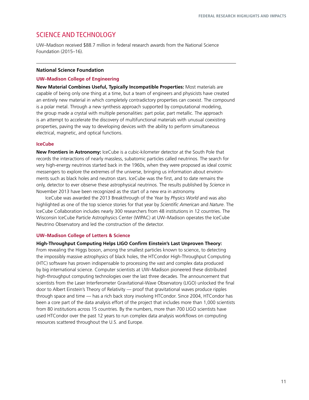# SCIENCE AND TECHNOLOGY

UW–Madison received \$88.7 million in federal research awards from the National Science Foundation (2015–16).

#### **National Science Foundation**

#### **UW–Madison College of Engineering**

**New Material Combines Useful, Typically Incompatible Properties:** Most materials are capable of being only one thing at a time, but a team of engineers and physicists have created an entirely new material in which completely contradictory properties can coexist. The compound is a polar metal. Through a new synthesis approach supported by computational modeling, the group made a crystal with multiple personalities: part polar, part metallic. The approach is an attempt to accelerate the discovery of multifunctional materials with unusual coexisting properties, paving the way to developing devices with the ability to perform simultaneous electrical, magnetic, and optical functions.

#### **IceCube**

**New Frontiers in Astronomy:** IceCube is a cubic-kilometer detector at the South Pole that records the interactions of nearly massless, subatomic particles called neutrinos. The search for very high-energy neutrinos started back in the 1960s, when they were proposed as ideal cosmic messengers to explore the extremes of the universe, bringing us information about environments such as black holes and neutron stars. IceCube was the first, and to date remains the only, detector to ever observe these astrophysical neutrinos. The results published by *Science* in November 2013 have been recognized as the start of a new era in astronomy.

IceCube was awarded the 2013 Breakthrough of the Year by *Physics World* and was also highlighted as one of the top science stories for that year by *Scientific American* and *Nature*. The IceCube Collaboration includes nearly 300 researchers from 48 institutions in 12 countries. The Wisconsin IceCube Particle Astrophysics Center (WIPAC) at UW–Madison operates the IceCube Neutrino Observatory and led the construction of the detector.

#### **UW–Madison College of Letters & Science**

#### **High-Throughput Computing Helps LIGO Confirm Einstein's Last Unproven Theory:**

From revealing the Higgs boson, among the smallest particles known to science, to detecting the impossibly massive astrophysics of black holes, the HTCondor High-Throughput Computing (HTC) software has proven indispensable to processing the vast and complex data produced by big international science. Computer scientists at UW–Madison pioneered these distributed high-throughput computing technologies over the last three decades. The announcement that scientists from the Laser Interferometer Gravitational-Wave Observatory (LIGO) unlocked the final door to Albert Einstein's Theory of Relativity — proof that gravitational waves produce ripples through space and time — has a rich back story involving HTCondor. Since 2004, HTCondor has been a core part of the data analysis effort of the project that includes more than 1,000 scientists from 80 institutions across 15 countries. By the numbers, more than 700 LIGO scientists have used HTCondor over the past 12 years to run complex data analysis workflows on computing resources scattered throughout the U.S. and Europe.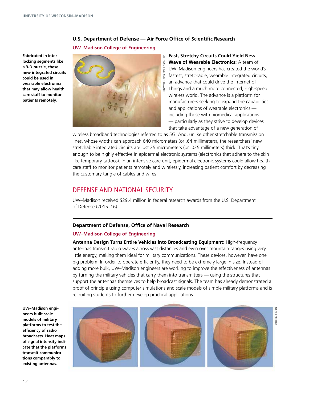# **U.S. Department of Defense — Air Force Office of Scientific Research UW–Madison College of Engineering**

**Fabricated in interlocking segments like a 3-D puzzle, these new integrated circuits could be used in wearable electronics that may allow health care staff to monitor patients remotely.**



**Fast, Stretchy Circuits Could Yield New Wave of Wearable Electronics:** A team of UW–Madison engineers has created the world's fastest, stretchable, wearable integrated circuits, an advance that could drive the Internet of Things and a much more connected, high-speed wireless world. The advance is a platform for manufacturers seeking to expand the capabilities and applications of wearable electronics including those with biomedical applications — particularly as they strive to develop devices that take advantage of a new generation of

wireless broadband technologies referred to as 5G. And, unlike other stretchable transmission lines, whose widths can approach 640 micrometers (or .64 millimeters), the researchers' new stretchable integrated circuits are just 25 micrometers (or .025 millimeters) thick. That's tiny enough to be highly effective in epidermal electronic systems (electronics that adhere to the skin like temporary tattoos). In an intensive care unit, epidermal electronic systems could allow health care staff to monitor patients remotely and wirelessly, increasing patient comfort by decreasing the customary tangle of cables and wires.

# DEFENSE AND NATIONAL SECURITY

UW–Madison received \$29.4 million in federal research awards from the U.S. Department of Defense (2015–16).

#### **Department of Defense, Office of Naval Research**

#### **UW–Madison College of Engineering**

**Antenna Design Turns Entire Vehicles into Broadcasting Equipment:** High-frequency antennas transmit radio waves across vast distances and even over mountain ranges using very little energy, making them ideal for military communications. These devices, however, have one big problem: In order to operate efficiently, they need to be extremely large in size. Instead of adding more bulk, UW–Madison engineers are working to improve the effectiveness of antennas by turning the military vehicles that carry them into transmitters — using the structures that support the antennas themselves to help broadcast signals. The team has already demonstrated a proof of principle using computer simulations and scale models of simple military platforms and is recruiting students to further develop practical applications.

**UW–Madison engineers built scale models of military platforms to test the efficiency of radio broadcasts. Heat maps of signal intensity indicate that the platforms transmit communications comparably to existing antennas.**

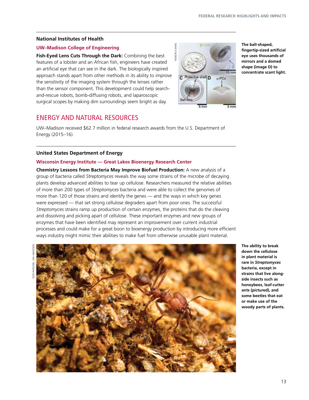# **National Institutes of Health**

# **UW–Madison College of Engineering**

**Fish-Eyed Lens Cuts Through the Dark:** Combining the best features of a lobster and an African fish, engineers have created an artificial eye that can see in the dark. The biologically inspired approach stands apart from other methods in its ability to improve the sensitivity of the imaging system through the lenses rather than the sensor component. This development could help searchand-rescue robots, bomb-diffusing robots, and laparoscopic surgical scopes by making dim surroundings seem bright as day.



**The ball-shaped, fingertip-sized artificial eye uses thousands of mirrors and a domed shape (image D) to concentrate scant light.**

# ENERGY AND NATURAL RESOURCES

UW–Madison received \$62.7 million in federal research awards from the U.S. Department of Energy (2015–16).

#### **United States Department of Energy**

#### **Wisconsin Energy Institute — Great Lakes Bioenergy Research Center**

**Chemistry Lessons from Bacteria May Improve Biofuel Production:** A new analysis of a group of bacteria called *Streptomyces* reveals the way some strains of the microbe of decaying plants develop advanced abilities to tear up cellulose. Researchers measured the relative abilities of more than 200 types of *Streptomyces* bacteria and were able to collect the genomes of more than 120 of those strains and identify the genes — and the ways in which key genes were expressed — that set strong cellulose degraders apart from poor ones. The successful *Streptomyces* strains ramp up production of certain enzymes, the proteins that do the cleaving and dissolving and picking apart of cellulose. These important enzymes and new groups of enzymes that have been identified may represent an improvement over current industrial processes and could make for a great boon to bioenergy production by introducing more efficient ways industry might mimic their abilities to make fuel from otherwise unusable plant material.



**The ability to break down the cellulose in plant material is rare in** *Streptomyces* **bacteria, except in strains that live alongside insects such as honeybees, leaf-cutter ants (pictured), and some beetles that eat or make use of the woody parts of plants.**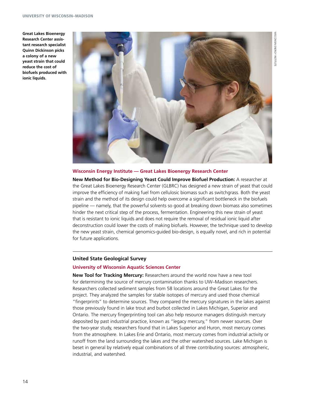**Great Lakes Bioenergy Research Center assistant research specialist Quinn Dickinson picks a colony of a new yeast strain that could reduce the cost of biofuels produced with ionic liquids.**



#### **Wisconsin Energy Institute — Great Lakes Bioenergy Research Center**

**New Method for Bio-Designing Yeast Could Improve Biofuel Production:** A researcher at the Great Lakes Bioenergy Research Center (GLBRC) has designed a new strain of yeast that could improve the efficiency of making fuel from cellulosic biomass such as switchgrass. Both the yeast strain and the method of its design could help overcome a significant bottleneck in the biofuels pipeline — namely, that the powerful solvents so good at breaking down biomass also sometimes hinder the next critical step of the process, fermentation. Engineering this new strain of yeast that is resistant to ionic liquids and does not require the removal of residual ionic liquid after deconstruction could lower the costs of making biofuels. However, the technique used to develop the new yeast strain, chemical genomics-guided bio-design, is equally novel, and rich in potential for future applications.

#### **United State Geological Survey**

#### **University of Wisconsin Aquatic Sciences Center**

**New Tool for Tracking Mercury:** Researchers around the world now have a new tool for determining the source of mercury contamination thanks to UW–Madison researchers. Researchers collected sediment samples from 58 locations around the Great Lakes for the project. They analyzed the samples for stable isotopes of mercury and used those chemical "fingerprints" to determine sources. They compared the mercury signatures in the lakes against those previously found in lake trout and burbot collected in Lakes Michigan, Superior and Ontario. The mercury fingerprinting tool can also help resource managers distinguish mercury deposited by past industrial practice, known as "legacy mercury," from newer sources. Over the two-year study, researchers found that in Lakes Superior and Huron, most mercury comes from the atmosphere. In Lakes Erie and Ontario, most mercury comes from industrial activity or runoff from the land surrounding the lakes and the other watershed sources. Lake Michigan is beset in general by relatively equal combinations of all three contributing sources: atmospheric, industrial, and watershed.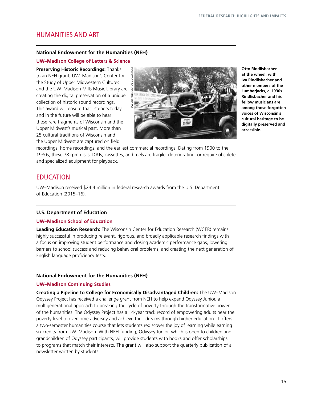# HUMANITIES AND ART

#### **National Endowment for the Humanities (NEH)**

#### **UW–Madison College of Letters & Science**

**Preserving Historic Recordings:** Thanks to an NEH grant, UW–Madison's Center for the Study of Upper Midwestern Cultures and the UW–Madison Mills Music Library are creating the digital preservation of a unique collection of historic sound recordings. This award will ensure that listeners today and in the future will be able to hear these rare fragments of Wisconsin and the Upper Midwest's musical past. More than 25 cultural traditions of Wisconsin and the Upper Midwest are captured on field



**Otto Rindlisbacher at the wheel, with Iva Rindlisbacher and other members of the Lumberjacks, c. 1930s. Rindlisbacher and his fellow musicians are among those forgotten voices of Wisconsin's cultural heritage to be digitally preserved and accessible.**

recordings, home recordings, and the earliest commercial recordings. Dating from 1900 to the 1980s, these 78 rpm discs, DATs, cassettes, and reels are fragile, deteriorating, or require obsolete and specialized equipment for playback.

## EDUCATION

UW–Madison received \$24.4 million in federal research awards from the U.S. Department of Education (2015–16).

#### **U.S. Department of Education**

#### **UW–Madison School of Education**

**Leading Education Research:** The Wisconsin Center for Education Research (WCER) remains highly successful in producing relevant, rigorous, and broadly applicable research findings with a focus on improving student performance and closing academic performance gaps, lowering barriers to school success and reducing behavioral problems, and creating the next generation of English language proficiency tests.

#### **National Endowment for the Humanities (NEH)**

#### **UW–Madison Continuing Studies**

**Creating a Pipeline to College for Economically Disadvantaged Children:** The UW–Madison Odyssey Project has received a challenge grant from NEH to help expand Odyssey Junior, a multigenerational approach to breaking the cycle of poverty through the transformative power of the humanities. The Odyssey Project has a 14-year track record of empowering adults near the poverty level to overcome adversity and achieve their dreams through higher education. It offers a two-semester humanities course that lets students rediscover the joy of learning while earning six credits from UW–Madison. With NEH funding, Odyssey Junior, which is open to children and grandchildren of Odyssey participants, will provide students with books and offer scholarships to programs that match their interests. The grant will also support the quarterly publication of a newsletter written by students.